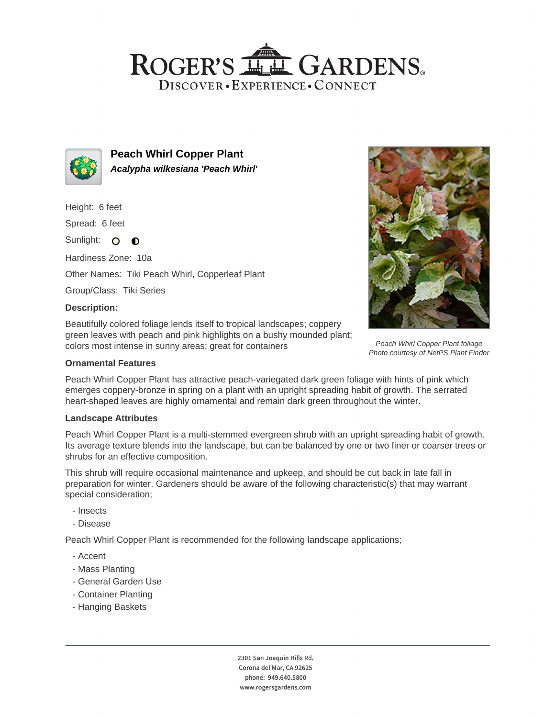## ROGER'S LL GARDENS. DISCOVER · EXPERIENCE · CONNECT



**Peach Whirl Copper Plant Acalypha wilkesiana 'Peach Whirl'**

Height: 6 feet

Spread: 6 feet

Sunlight: O  $\bullet$ 

Hardiness Zone: 10a

Other Names: Tiki Peach Whirl, Copperleaf Plant

Group/Class: Tiki Series

### **Description:**

Beautifully colored foliage lends itself to tropical landscapes; coppery green leaves with peach and pink highlights on a bushy mounded plant; colors most intense in sunny areas; great for containers

## **Ornamental Features**

Peach Whirl Copper Plant has attractive peach-variegated dark green foliage with hints of pink which emerges coppery-bronze in spring on a plant with an upright spreading habit of growth. The serrated heart-shaped leaves are highly ornamental and remain dark green throughout the winter.

#### **Landscape Attributes**

Peach Whirl Copper Plant is a multi-stemmed evergreen shrub with an upright spreading habit of growth. Its average texture blends into the landscape, but can be balanced by one or two finer or coarser trees or shrubs for an effective composition.

This shrub will require occasional maintenance and upkeep, and should be cut back in late fall in preparation for winter. Gardeners should be aware of the following characteristic(s) that may warrant special consideration;

- Insects
- Disease

Peach Whirl Copper Plant is recommended for the following landscape applications;

- Accent
- Mass Planting
- General Garden Use
- Container Planting
- Hanging Baskets







Peach Whirl Copper Plant foliage Photo courtesy of NetPS Plant Finder